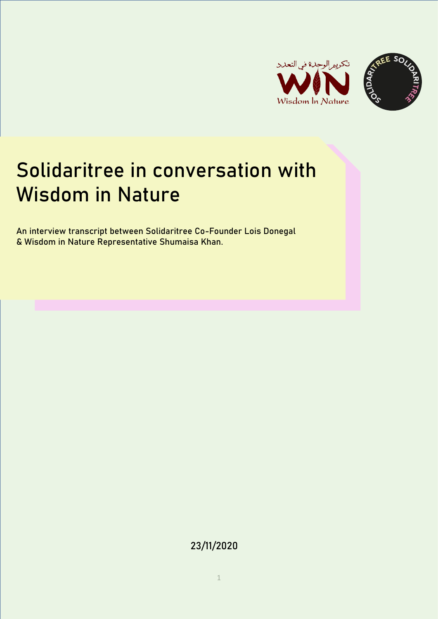



# Solidaritree in conversation with Wisdom in Nature

An interview transcript between Solidaritree Co-Founder Lois Donegal & Wisdom in Nature Representative Shumaisa Khan.

23/11/2020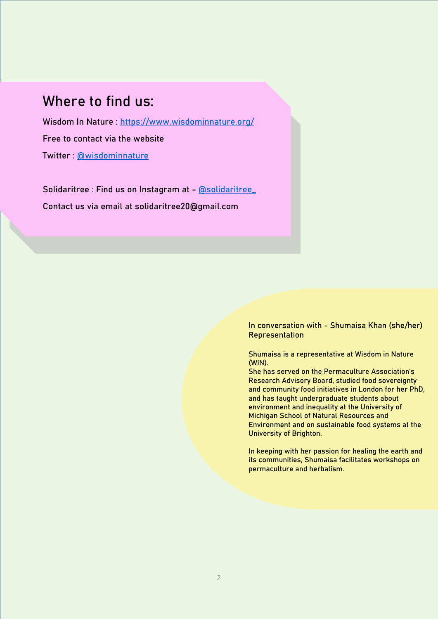### **Where to find us:**

**Wisdom In Nature** :<https://www.wisdominnature.org/> Free to contact via the website

Twitter : [@wisdominnature](https://twitter.com/wisdominnature)

**Solidaritree** : Find us on Instagram at - [@solidaritree\\_](https://www.instagram.com/solidaritree_/?hl=en) Contact us via email at solidaritree20@gmail.com

> **In conversation with - Shumaisa Khan (she/her) Representation**

Shumaisa is a representative at Wisdom in Nature (WiN).

She has served on the Permaculture Association's Research Advisory Board, studied food sovereignty and community food initiatives in London for her PhD, and has taught undergraduate students about environment and inequality at the University of Michigan School of Natural Resources and Environment and on sustainable food systems at the University of Brighton.

In keeping with her passion for healing the earth and its communities, Shumaisa facilitates workshops on permaculture and herbalism.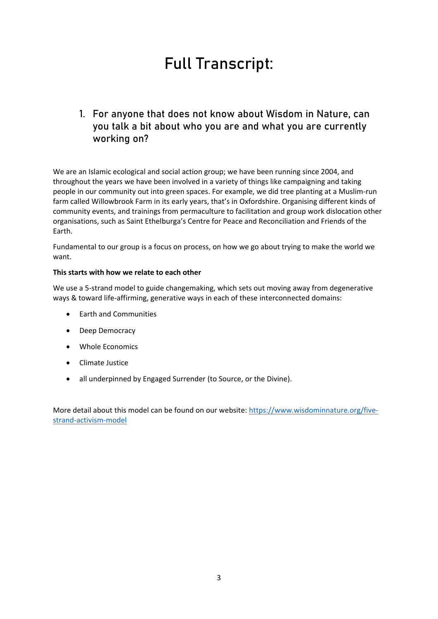## Full Transcript:

#### 1. For anyone that does not know about Wisdom in Nature, can you talk a bit about who you are and what you are currently working on?

We are an Islamic ecological and social action group; we have been running since 2004, and throughout the years we have been involved in a variety of things like campaigning and taking people in our community out into green spaces. For example, we did tree planting at a Muslim-run farm called Willowbrook Farm in its early years, that's in Oxfordshire. Organising different kinds of community events, and trainings from permaculture to facilitation and group work dislocation other organisations, such as Saint Ethelburga's Centre for Peace and Reconciliation and Friends of the Earth.

Fundamental to our group is a focus on process, on how we go about trying to make the world we want.

#### **This starts with how we relate to each other**

We use a 5-strand model to guide changemaking, which sets out moving away from degenerative ways & toward life-affirming, generative ways in each of these interconnected domains:

- Earth and Communities
- Deep Democracy
- Whole Economics
- Climate Justice
- all underpinned by Engaged Surrender (to Source, or the Divine).

More detail about this model can be found on our website: [https://www.wisdominnature.org/five](https://www.wisdominnature.org/five-strand-activism-model)[strand-activism-model](https://www.wisdominnature.org/five-strand-activism-model)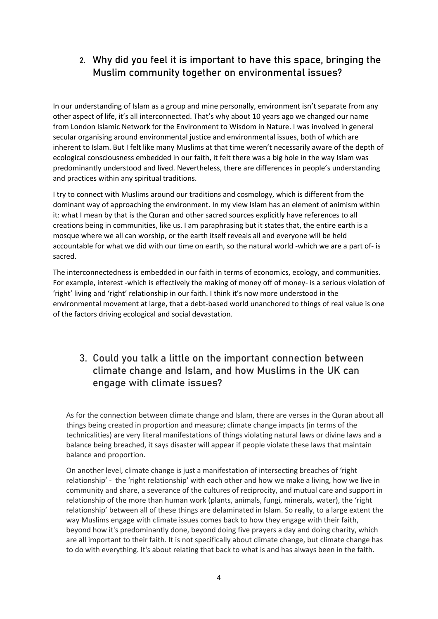#### 2. Why did you feel it is important to have this space, bringing the Muslim community together on environmental issues?

In our understanding of Islam as a group and mine personally, environment isn't separate from any other aspect of life, it's all interconnected. That's why about 10 years ago we changed our name from London Islamic Network for the Environment to Wisdom in Nature. I was involved in general secular organising around environmental justice and environmental issues, both of which are inherent to Islam. But I felt like many Muslims at that time weren't necessarily aware of the depth of ecological consciousness embedded in our faith, it felt there was a big hole in the way Islam was predominantly understood and lived. Nevertheless, there are differences in people's understanding and practices within any spiritual traditions.

I try to connect with Muslims around our traditions and cosmology, which is different from the dominant way of approaching the environment. In my view Islam has an element of animism within it: what I mean by that is the Quran and other sacred sources explicitly have references to all creations being in communities, like us. I am paraphrasing but it states that, the entire earth is a mosque where we all can worship, or the earth itself reveals all and everyone will be held accountable for what we did with our time on earth, so the natural world -which we are a part of- is sacred.

The interconnectedness is embedded in our faith in terms of economics, ecology, and communities. For example, interest -which is effectively the making of money off of money- is a serious violation of 'right' living and 'right' relationship in our faith. I think it's now more understood in the environmental movement at large, that a debt-based world unanchored to things of real value is one of the factors driving ecological and social devastation.

#### 3. Could you talk a little on the important connection between climate change and Islam, and how Muslims in the UK can engage with climate issues?

As for the connection between climate change and Islam, there are verses in the Quran about all things being created in proportion and measure; climate change impacts (in terms of the technicalities) are very literal manifestations of things violating natural laws or divine laws and a balance being breached, it says disaster will appear if people violate these laws that maintain balance and proportion.

On another level, climate change is just a manifestation of intersecting breaches of 'right relationship' - the 'right relationship' with each other and how we make a living, how we live in community and share, a severance of the cultures of reciprocity, and mutual care and support in relationship of the more than human work (plants, animals, fungi, minerals, water), the 'right relationship' between all of these things are delaminated in Islam. So really, to a large extent the way Muslims engage with climate issues comes back to how they engage with their faith, beyond how it's predominantly done, beyond doing five prayers a day and doing charity, which are all important to their faith. It is not specifically about climate change, but climate change has to do with everything. It's about relating that back to what is and has always been in the faith.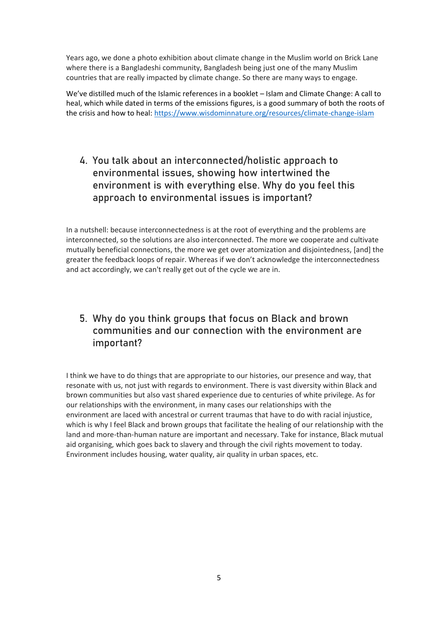Years ago, we done a photo exhibition about climate change in the Muslim world on Brick Lane where there is a Bangladeshi community, Bangladesh being just one of the many Muslim countries that are really impacted by climate change. So there are many ways to engage.

We've distilled much of the Islamic references in a booklet – Islam and Climate Change: A call to heal, which while dated in terms of the emissions figures, is a good summary of both the roots of the crisis and how to heal[: https://www.wisdominnature.org/resources/climate-change-islam](https://www.wisdominnature.org/resources/climate-change-islam)

#### 4. You talk about an interconnected/holistic approach to environmental issues, showing how intertwined the environment is with everything else. Why do you feel this approach to environmental issues is important?

In a nutshell: because interconnectedness is at the root of everything and the problems are interconnected, so the solutions are also interconnected. The more we cooperate and cultivate mutually beneficial connections, the more we get over atomization and disjointedness, [and] the greater the feedback loops of repair. Whereas if we don't acknowledge the interconnectedness and act accordingly, we can't really get out of the cycle we are in.

#### 5. Why do you think groups that focus on Black and brown communities and our connection with the environment are important?

I think we have to do things that are appropriate to our histories, our presence and way, that resonate with us, not just with regards to environment. There is vast diversity within Black and brown communities but also vast shared experience due to centuries of white privilege. As for our relationships with the environment, in many cases our relationships with the environment are laced with ancestral or current traumas that have to do with racial injustice, which is why I feel Black and brown groups that facilitate the healing of our relationship with the land and more-than-human nature are important and necessary. Take for instance, Black mutual aid organising, which goes back to slavery and through the civil rights movement to today. Environment includes housing, water quality, air quality in urban spaces, etc.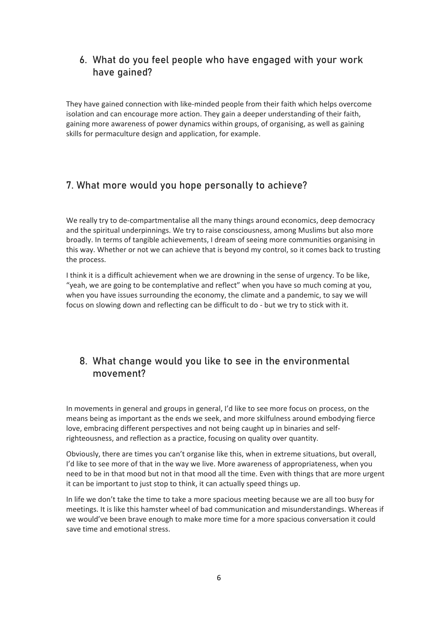#### 6. What do you feel people who have engaged with your work have gained?

They have gained connection with like-minded people from their faith which helps overcome isolation and can encourage more action. They gain a deeper understanding of their faith, gaining more awareness of power dynamics within groups, of organising, as well as gaining skills for permaculture design and application, for example.

#### 7. What more would you hope personally to achieve?

We really try to de-compartmentalise all the many things around economics, deep democracy and the spiritual underpinnings. We try to raise consciousness, among Muslims but also more broadly. In terms of tangible achievements, I dream of seeing more communities organising in this way. Whether or not we can achieve that is beyond my control, so it comes back to trusting the process.

I think it is a difficult achievement when we are drowning in the sense of urgency. To be like, "yeah, we are going to be contemplative and reflect" when you have so much coming at you, when you have issues surrounding the economy, the climate and a pandemic, to say we will focus on slowing down and reflecting can be difficult to do - but we try to stick with it.

#### 8. What change would you like to see in the environmental movement?

In movements in general and groups in general, I'd like to see more focus on process, on the means being as important as the ends we seek, and more skilfulness around embodying fierce love, embracing different perspectives and not being caught up in binaries and selfrighteousness, and reflection as a practice, focusing on quality over quantity.

Obviously, there are times you can't organise like this, when in extreme situations, but overall, I'd like to see more of that in the way we live. More awareness of appropriateness, when you need to be in that mood but not in that mood all the time. Even with things that are more urgent it can be important to just stop to think, it can actually speed things up.

In life we don't take the time to take a more spacious meeting because we are all too busy for meetings. It is like this hamster wheel of bad communication and misunderstandings. Whereas if we would've been brave enough to make more time for a more spacious conversation it could save time and emotional stress.